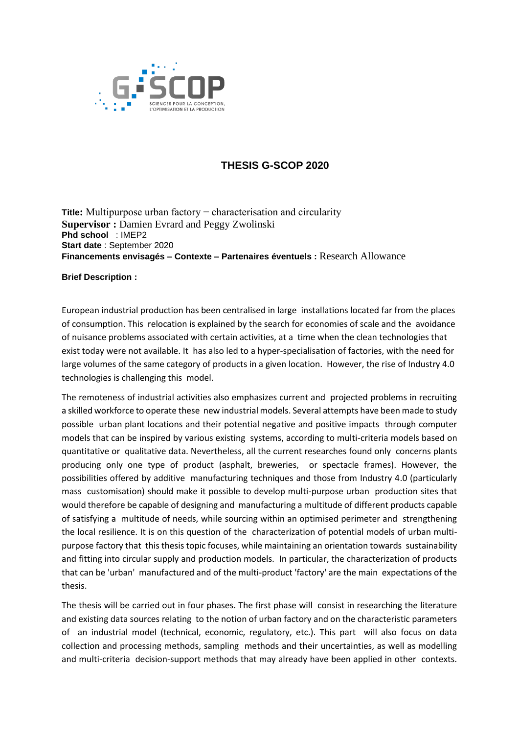

## **THESIS G-SCOP 2020**

**Title:** Multipurpose urban factory − characterisation and circularity **Supervisor :** Damien Evrard and Peggy Zwolinski **Phd school** : IMEP2 **Start date** : September 2020 **Financements envisagés – Contexte – Partenaires éventuels :** Research Allowance

## **Brief Description :**

European industrial production has been centralised in large installations located far from the places of consumption. This relocation is explained by the search for economies of scale and the avoidance of nuisance problems associated with certain activities, at a time when the clean technologies that exist today were not available. It has also led to a hyper-specialisation of factories, with the need for large volumes of the same category of products in a given location. However, the rise of Industry 4.0 technologies is challenging this model.

The remoteness of industrial activities also emphasizes current and projected problems in recruiting a skilled workforce to operate these new industrial models. Several attempts have been made to study possible urban plant locations and their potential negative and positive impacts through computer models that can be inspired by various existing systems, according to multi-criteria models based on quantitative or qualitative data. Nevertheless, all the current researches found only concerns plants producing only one type of product (asphalt, breweries, or spectacle frames). However, the possibilities offered by additive manufacturing techniques and those from Industry 4.0 (particularly mass customisation) should make it possible to develop multi-purpose urban production sites that would therefore be capable of designing and manufacturing a multitude of different products capable of satisfying a multitude of needs, while sourcing within an optimised perimeter and strengthening the local resilience. It is on this question of the characterization of potential models of urban multipurpose factory that this thesis topic focuses, while maintaining an orientation towards sustainability and fitting into circular supply and production models. In particular, the characterization of products that can be 'urban' manufactured and of the multi-product 'factory' are the main expectations of the thesis.

The thesis will be carried out in four phases. The first phase will consist in researching the literature and existing data sources relating to the notion of urban factory and on the characteristic parameters of an industrial model (technical, economic, regulatory, etc.). This part will also focus on data collection and processing methods, sampling methods and their uncertainties, as well as modelling and multi-criteria decision-support methods that may already have been applied in other contexts.